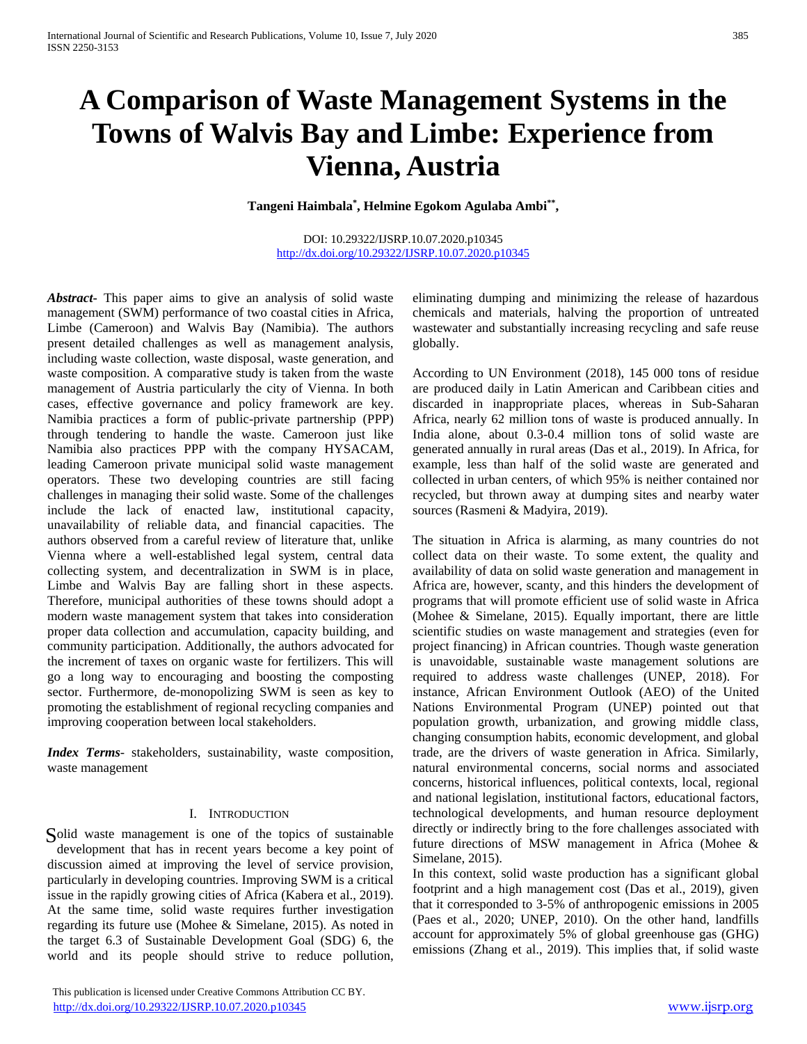# **A Comparison of Waste Management Systems in the Towns of Walvis Bay and Limbe: Experience from Vienna, Austria**

Tangeni Haimbala<sup>\*</sup>, Helmine Egokom Agulaba Ambi<sup>\*\*</sup>,

## DOI: 10.29322/IJSRP.10.07.2020.p10345 <http://dx.doi.org/10.29322/IJSRP.10.07.2020.p10345>

*Abstract***-** This paper aims to give an analysis of solid waste management (SWM) performance of two coastal cities in Africa, Limbe (Cameroon) and Walvis Bay (Namibia). The authors present detailed challenges as well as management analysis, including waste collection, waste disposal, waste generation, and waste composition. A comparative study is taken from the waste management of Austria particularly the city of Vienna. In both cases, effective governance and policy framework are key. Namibia practices a form of public-private partnership (PPP) through tendering to handle the waste. Cameroon just like Namibia also practices PPP with the company HYSACAM, leading Cameroon private municipal solid waste management operators. These two developing countries are still facing challenges in managing their solid waste. Some of the challenges include the lack of enacted law, institutional capacity, unavailability of reliable data, and financial capacities. The authors observed from a careful review of literature that, unlike Vienna where a well-established legal system, central data collecting system, and decentralization in SWM is in place, Limbe and Walvis Bay are falling short in these aspects. Therefore, municipal authorities of these towns should adopt a modern waste management system that takes into consideration proper data collection and accumulation, capacity building, and community participation. Additionally, the authors advocated for the increment of taxes on organic waste for fertilizers. This will go a long way to encouraging and boosting the composting sector. Furthermore, de-monopolizing SWM is seen as key to promoting the establishment of regional recycling companies and improving cooperation between local stakeholders.

*Index Terms*- stakeholders, sustainability, waste composition, waste management

# I. INTRODUCTION

Solid waste management is one of the topics of sustainable development that has in recent years become a key point of discussion aimed at improving the level of service provision, particularly in developing countries. Improving SWM is a critical issue in the rapidly growing cities of Africa (Kabera et al., 2019). At the same time, solid waste requires further investigation regarding its future use (Mohee & Simelane, 2015). As noted in the target 6.3 of Sustainable Development Goal (SDG) 6, the world and its people should strive to reduce pollution,

eliminating dumping and minimizing the release of hazardous chemicals and materials, halving the proportion of untreated wastewater and substantially increasing recycling and safe reuse globally.

According to UN Environment (2018), 145 000 tons of residue are produced daily in Latin American and Caribbean cities and discarded in inappropriate places, whereas in Sub-Saharan Africa, nearly 62 million tons of waste is produced annually. In India alone, about 0.3-0.4 million tons of solid waste are generated annually in rural areas (Das et al., 2019). In Africa, for example, less than half of the solid waste are generated and collected in urban centers, of which 95% is neither contained nor recycled, but thrown away at dumping sites and nearby water sources (Rasmeni & Madyira, 2019).

The situation in Africa is alarming, as many countries do not collect data on their waste. To some extent, the quality and availability of data on solid waste generation and management in Africa are, however, scanty, and this hinders the development of programs that will promote efficient use of solid waste in Africa (Mohee & Simelane, 2015). Equally important, there are little scientific studies on waste management and strategies (even for project financing) in African countries. Though waste generation is unavoidable, sustainable waste management solutions are required to address waste challenges (UNEP, 2018). For instance, African Environment Outlook (AEO) of the United Nations Environmental Program (UNEP) pointed out that population growth, urbanization, and growing middle class, changing consumption habits, economic development, and global trade, are the drivers of waste generation in Africa. Similarly, natural environmental concerns, social norms and associated concerns, historical influences, political contexts, local, regional and national legislation, institutional factors, educational factors, technological developments, and human resource deployment directly or indirectly bring to the fore challenges associated with future directions of MSW management in Africa (Mohee & Simelane, 2015).

In this context, solid waste production has a significant global footprint and a high management cost (Das et al., 2019), given that it corresponded to 3-5% of anthropogenic emissions in 2005 (Paes et al., 2020; UNEP, 2010). On the other hand, landfills account for approximately 5% of global greenhouse gas (GHG) emissions (Zhang et al., 2019). This implies that, if solid waste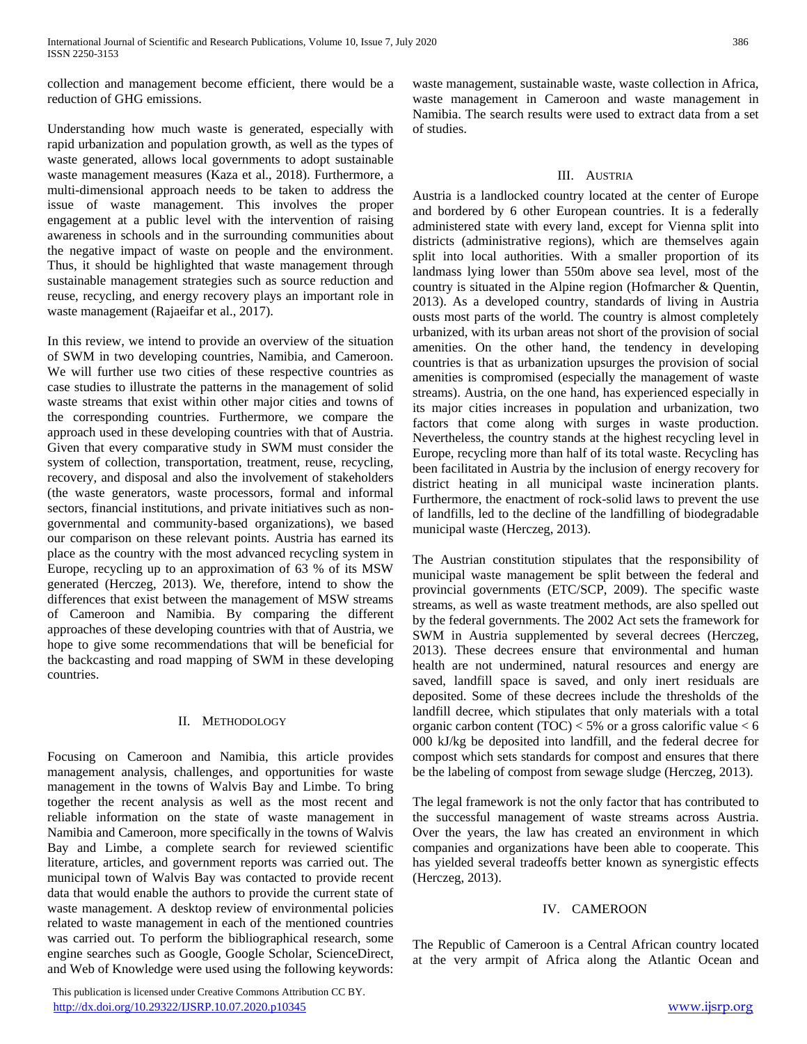collection and management become efficient, there would be a reduction of GHG emissions.

Understanding how much waste is generated, especially with rapid urbanization and population growth, as well as the types of waste generated, allows local governments to adopt sustainable waste management measures (Kaza et al., 2018). Furthermore, a multi-dimensional approach needs to be taken to address the issue of waste management. This involves the proper engagement at a public level with the intervention of raising awareness in schools and in the surrounding communities about the negative impact of waste on people and the environment. Thus, it should be highlighted that waste management through sustainable management strategies such as source reduction and reuse, recycling, and energy recovery plays an important role in waste management (Rajaeifar et al., 2017).

In this review, we intend to provide an overview of the situation of SWM in two developing countries, Namibia, and Cameroon. We will further use two cities of these respective countries as case studies to illustrate the patterns in the management of solid waste streams that exist within other major cities and towns of the corresponding countries. Furthermore, we compare the approach used in these developing countries with that of Austria. Given that every comparative study in SWM must consider the system of collection, transportation, treatment, reuse, recycling, recovery, and disposal and also the involvement of stakeholders (the waste generators, waste processors, formal and informal sectors, financial institutions, and private initiatives such as nongovernmental and community-based organizations), we based our comparison on these relevant points. Austria has earned its place as the country with the most advanced recycling system in Europe, recycling up to an approximation of 63 % of its MSW generated (Herczeg, 2013). We, therefore, intend to show the differences that exist between the management of MSW streams of Cameroon and Namibia. By comparing the different approaches of these developing countries with that of Austria, we hope to give some recommendations that will be beneficial for the backcasting and road mapping of SWM in these developing countries.

# II. METHODOLOGY

Focusing on Cameroon and Namibia, this article provides management analysis, challenges, and opportunities for waste management in the towns of Walvis Bay and Limbe. To bring together the recent analysis as well as the most recent and reliable information on the state of waste management in Namibia and Cameroon, more specifically in the towns of Walvis Bay and Limbe, a complete search for reviewed scientific literature, articles, and government reports was carried out. The municipal town of Walvis Bay was contacted to provide recent data that would enable the authors to provide the current state of waste management. A desktop review of environmental policies related to waste management in each of the mentioned countries was carried out. To perform the bibliographical research, some engine searches such as Google, Google Scholar, ScienceDirect, and Web of Knowledge were used using the following keywords:

waste management, sustainable waste, waste collection in Africa, waste management in Cameroon and waste management in Namibia. The search results were used to extract data from a set of studies.

# III. AUSTRIA

Austria is a landlocked country located at the center of Europe and bordered by 6 other European countries. It is a federally administered state with every land, except for Vienna split into districts (administrative regions), which are themselves again split into local authorities. With a smaller proportion of its landmass lying lower than 550m above sea level, most of the country is situated in the Alpine region (Hofmarcher & Quentin, 2013). As a developed country, standards of living in Austria ousts most parts of the world. The country is almost completely urbanized, with its urban areas not short of the provision of social amenities. On the other hand, the tendency in developing countries is that as urbanization upsurges the provision of social amenities is compromised (especially the management of waste streams). Austria, on the one hand, has experienced especially in its major cities increases in population and urbanization, two factors that come along with surges in waste production. Nevertheless, the country stands at the highest recycling level in Europe, recycling more than half of its total waste. Recycling has been facilitated in Austria by the inclusion of energy recovery for district heating in all municipal waste incineration plants. Furthermore, the enactment of rock-solid laws to prevent the use of landfills, led to the decline of the landfilling of biodegradable municipal waste (Herczeg, 2013).

The Austrian constitution stipulates that the responsibility of municipal waste management be split between the federal and provincial governments (ETC/SCP, 2009). The specific waste streams, as well as waste treatment methods, are also spelled out by the federal governments. The 2002 Act sets the framework for SWM in Austria supplemented by several decrees (Herczeg, 2013). These decrees ensure that environmental and human health are not undermined, natural resources and energy are saved, landfill space is saved, and only inert residuals are deposited. Some of these decrees include the thresholds of the landfill decree, which stipulates that only materials with a total organic carbon content (TOC)  $<$  5% or a gross calorific value  $<$  6 000 kJ/kg be deposited into landfill, and the federal decree for compost which sets standards for compost and ensures that there be the labeling of compost from sewage sludge (Herczeg, 2013).

The legal framework is not the only factor that has contributed to the successful management of waste streams across Austria. Over the years, the law has created an environment in which companies and organizations have been able to cooperate. This has yielded several tradeoffs better known as synergistic effects (Herczeg, 2013).

# IV. CAMEROON

The Republic of Cameroon is a Central African country located at the very armpit of Africa along the Atlantic Ocean and

 This publication is licensed under Creative Commons Attribution CC BY. <http://dx.doi.org/10.29322/IJSRP.10.07.2020.p10345> [www.ijsrp.org](http://ijsrp.org/)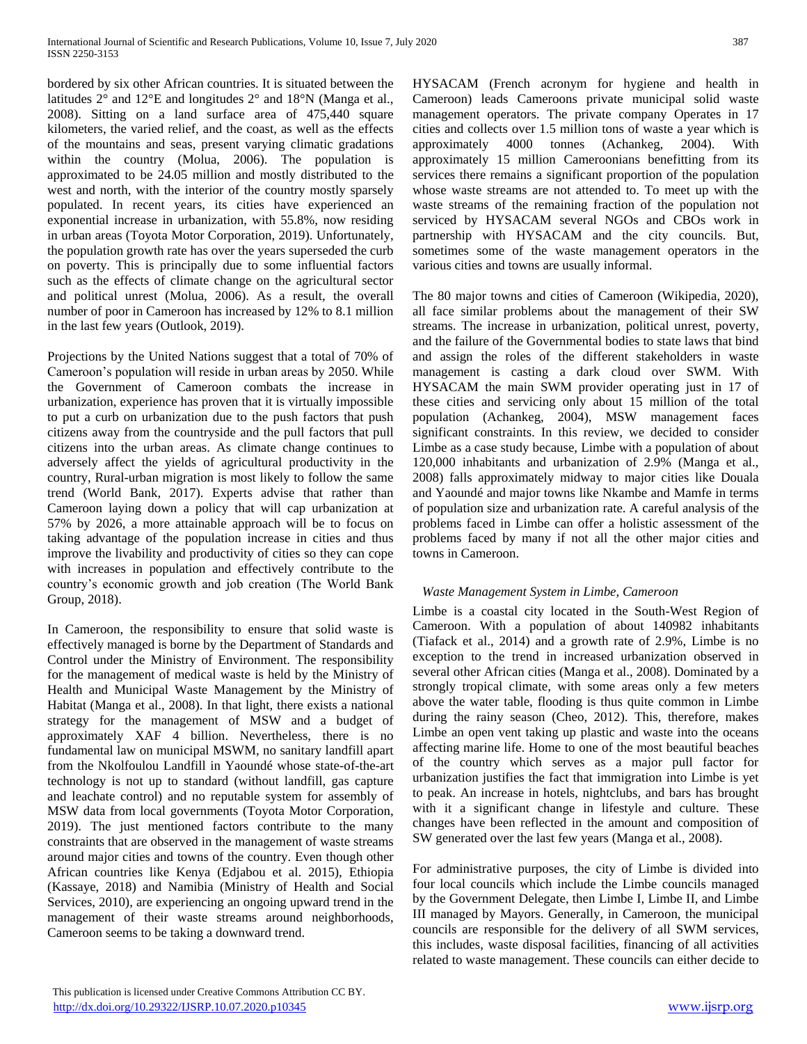bordered by six other African countries. It is situated between the latitudes 2° and 12°E and longitudes 2° and 18°N (Manga et al., 2008). Sitting on a land surface area of 475,440 square kilometers, the varied relief, and the coast, as well as the effects of the mountains and seas, present varying climatic gradations within the country (Molua, 2006). The population is approximated to be 24.05 million and mostly distributed to the west and north, with the interior of the country mostly sparsely populated. In recent years, its cities have experienced an exponential increase in urbanization, with 55.8%, now residing in urban areas (Toyota Motor Corporation, 2019). Unfortunately, the population growth rate has over the years superseded the curb on poverty. This is principally due to some influential factors such as the effects of climate change on the agricultural sector and political unrest (Molua, 2006). As a result, the overall number of poor in Cameroon has increased by 12% to 8.1 million in the last few years (Outlook, 2019).

Projections by the United Nations suggest that a total of 70% of Cameroon's population will reside in urban areas by 2050. While the Government of Cameroon combats the increase in urbanization, experience has proven that it is virtually impossible to put a curb on urbanization due to the push factors that push citizens away from the countryside and the pull factors that pull citizens into the urban areas. As climate change continues to adversely affect the yields of agricultural productivity in the country, Rural-urban migration is most likely to follow the same trend (World Bank, 2017). Experts advise that rather than Cameroon laying down a policy that will cap urbanization at 57% by 2026, a more attainable approach will be to focus on taking advantage of the population increase in cities and thus improve the livability and productivity of cities so they can cope with increases in population and effectively contribute to the country's economic growth and job creation (The World Bank Group, 2018).

In Cameroon, the responsibility to ensure that solid waste is effectively managed is borne by the Department of Standards and Control under the Ministry of Environment. The responsibility for the management of medical waste is held by the Ministry of Health and Municipal Waste Management by the Ministry of Habitat (Manga et al., 2008). In that light, there exists a national strategy for the management of MSW and a budget of approximately XAF 4 billion. Nevertheless, there is no fundamental law on municipal MSWM, no sanitary landfill apart from the Nkolfoulou Landfill in Yaoundé whose state-of-the-art technology is not up to standard (without landfill, gas capture and leachate control) and no reputable system for assembly of MSW data from local governments (Toyota Motor Corporation, 2019). The just mentioned factors contribute to the many constraints that are observed in the management of waste streams around major cities and towns of the country. Even though other African countries like Kenya (Edjabou et al. 2015), Ethiopia (Kassaye, 2018) and Namibia (Ministry of Health and Social Services, 2010), are experiencing an ongoing upward trend in the management of their waste streams around neighborhoods, Cameroon seems to be taking a downward trend.

HYSACAM (French acronym for hygiene and health in Cameroon) leads Cameroons private municipal solid waste management operators. The private company Operates in 17 cities and collects over 1.5 million tons of waste a year which is approximately 4000 tonnes (Achankeg, 2004). With approximately 15 million Cameroonians benefitting from its services there remains a significant proportion of the population whose waste streams are not attended to. To meet up with the waste streams of the remaining fraction of the population not serviced by HYSACAM several NGOs and CBOs work in partnership with HYSACAM and the city councils. But, sometimes some of the waste management operators in the various cities and towns are usually informal.

The 80 major towns and cities of Cameroon (Wikipedia, 2020), all face similar problems about the management of their SW streams. The increase in urbanization, political unrest, poverty, and the failure of the Governmental bodies to state laws that bind and assign the roles of the different stakeholders in waste management is casting a dark cloud over SWM. With HYSACAM the main SWM provider operating just in 17 of these cities and servicing only about 15 million of the total population (Achankeg, 2004), MSW management faces significant constraints. In this review, we decided to consider Limbe as a case study because, Limbe with a population of about 120,000 inhabitants and urbanization of 2.9% (Manga et al., 2008) falls approximately midway to major cities like Douala and Yaoundé and major towns like Nkambe and Mamfe in terms of population size and urbanization rate. A careful analysis of the problems faced in Limbe can offer a holistic assessment of the problems faced by many if not all the other major cities and towns in Cameroon.

# *Waste Management System in Limbe, Cameroon*

Limbe is a coastal city located in the South-West Region of Cameroon. With a population of about 140982 inhabitants (Tiafack et al., 2014) and a growth rate of 2.9%, Limbe is no exception to the trend in increased urbanization observed in several other African cities (Manga et al., 2008). Dominated by a strongly tropical climate, with some areas only a few meters above the water table, flooding is thus quite common in Limbe during the rainy season (Cheo, 2012). This, therefore, makes Limbe an open vent taking up plastic and waste into the oceans affecting marine life. Home to one of the most beautiful beaches of the country which serves as a major pull factor for urbanization justifies the fact that immigration into Limbe is yet to peak. An increase in hotels, nightclubs, and bars has brought with it a significant change in lifestyle and culture. These changes have been reflected in the amount and composition of SW generated over the last few years (Manga et al., 2008).

For administrative purposes, the city of Limbe is divided into four local councils which include the Limbe councils managed by the Government Delegate, then Limbe I, Limbe II, and Limbe III managed by Mayors. Generally, in Cameroon, the municipal councils are responsible for the delivery of all SWM services, this includes, waste disposal facilities, financing of all activities related to waste management. These councils can either decide to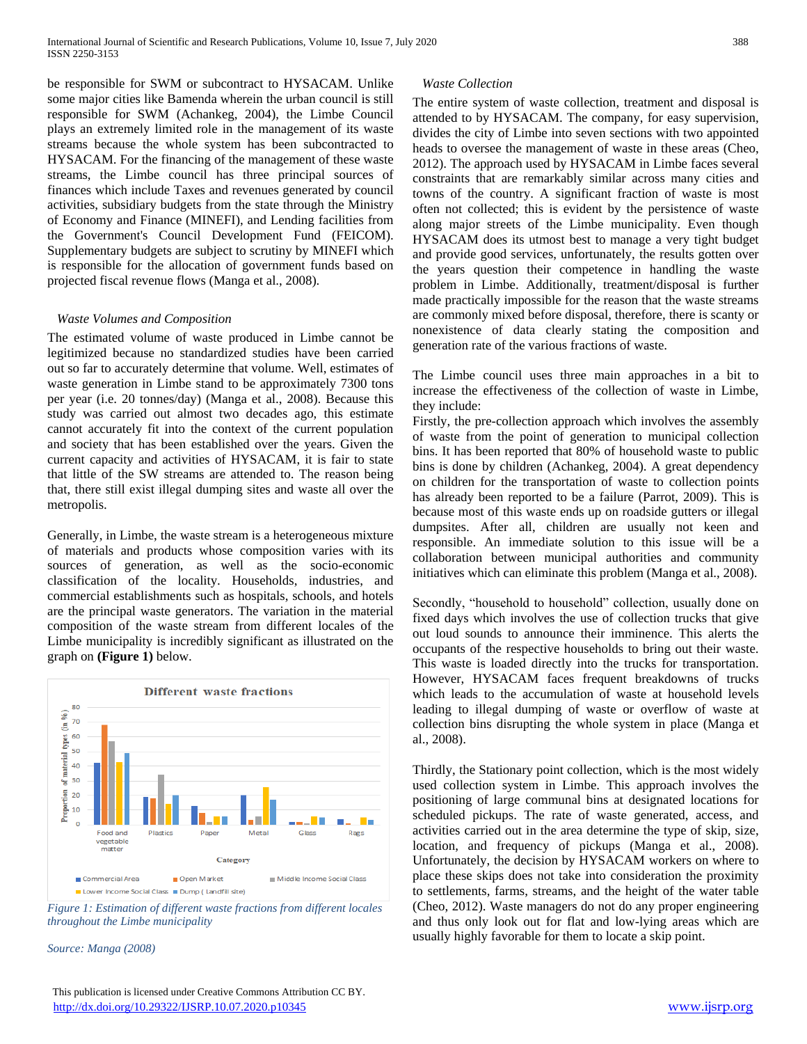be responsible for SWM or subcontract to HYSACAM. Unlike some major cities like Bamenda wherein the urban council is still responsible for SWM (Achankeg, 2004), the Limbe Council plays an extremely limited role in the management of its waste streams because the whole system has been subcontracted to HYSACAM. For the financing of the management of these waste streams, the Limbe council has three principal sources of finances which include Taxes and revenues generated by council activities, subsidiary budgets from the state through the Ministry of Economy and Finance (MINEFI), and Lending facilities from the Government's Council Development Fund (FEICOM). Supplementary budgets are subject to scrutiny by MINEFI which is responsible for the allocation of government funds based on projected fiscal revenue flows (Manga et al., 2008).

### *Waste Volumes and Composition*

The estimated volume of waste produced in Limbe cannot be legitimized because no standardized studies have been carried out so far to accurately determine that volume. Well, estimates of waste generation in Limbe stand to be approximately 7300 tons per year (i.e. 20 tonnes/day) (Manga et al., 2008). Because this study was carried out almost two decades ago, this estimate cannot accurately fit into the context of the current population and society that has been established over the years. Given the current capacity and activities of HYSACAM, it is fair to state that little of the SW streams are attended to. The reason being that, there still exist illegal dumping sites and waste all over the metropolis.

Generally, in Limbe, the waste stream is a heterogeneous mixture of materials and products whose composition varies with its sources of generation, as well as the socio-economic classification of the locality. Households, industries, and commercial establishments such as hospitals, schools, and hotels are the principal waste generators. The variation in the material composition of the waste stream from different locales of the Limbe municipality is incredibly significant as illustrated on the graph on **(Figure 1)** below.



*Figure 1: Estimation of different waste fractions from different locales throughout the Limbe municipality*

*Source: Manga (2008)*

# This publication is licensed under Creative Commons Attribution CC BY. <http://dx.doi.org/10.29322/IJSRP.10.07.2020.p10345> [www.ijsrp.org](http://ijsrp.org/)

# *Waste Collection*

The entire system of waste collection, treatment and disposal is attended to by HYSACAM. The company, for easy supervision, divides the city of Limbe into seven sections with two appointed heads to oversee the management of waste in these areas (Cheo, 2012). The approach used by HYSACAM in Limbe faces several constraints that are remarkably similar across many cities and towns of the country. A significant fraction of waste is most often not collected; this is evident by the persistence of waste along major streets of the Limbe municipality. Even though HYSACAM does its utmost best to manage a very tight budget and provide good services, unfortunately, the results gotten over the years question their competence in handling the waste problem in Limbe. Additionally, treatment/disposal is further made practically impossible for the reason that the waste streams are commonly mixed before disposal, therefore, there is scanty or nonexistence of data clearly stating the composition and generation rate of the various fractions of waste.

The Limbe council uses three main approaches in a bit to increase the effectiveness of the collection of waste in Limbe, they include:

Firstly, the pre-collection approach which involves the assembly of waste from the point of generation to municipal collection bins. It has been reported that 80% of household waste to public bins is done by children (Achankeg, 2004). A great dependency on children for the transportation of waste to collection points has already been reported to be a failure (Parrot, 2009). This is because most of this waste ends up on roadside gutters or illegal dumpsites. After all, children are usually not keen and responsible. An immediate solution to this issue will be a collaboration between municipal authorities and community initiatives which can eliminate this problem (Manga et al., 2008).

Secondly, "household to household" collection, usually done on fixed days which involves the use of collection trucks that give out loud sounds to announce their imminence. This alerts the occupants of the respective households to bring out their waste. This waste is loaded directly into the trucks for transportation. However, HYSACAM faces frequent breakdowns of trucks which leads to the accumulation of waste at household levels leading to illegal dumping of waste or overflow of waste at collection bins disrupting the whole system in place (Manga et al., 2008).

Thirdly, the Stationary point collection, which is the most widely used collection system in Limbe. This approach involves the positioning of large communal bins at designated locations for scheduled pickups. The rate of waste generated, access, and activities carried out in the area determine the type of skip, size, location, and frequency of pickups (Manga et al., 2008). Unfortunately, the decision by HYSACAM workers on where to place these skips does not take into consideration the proximity to settlements, farms, streams, and the height of the water table (Cheo, 2012). Waste managers do not do any proper engineering and thus only look out for flat and low-lying areas which are usually highly favorable for them to locate a skip point.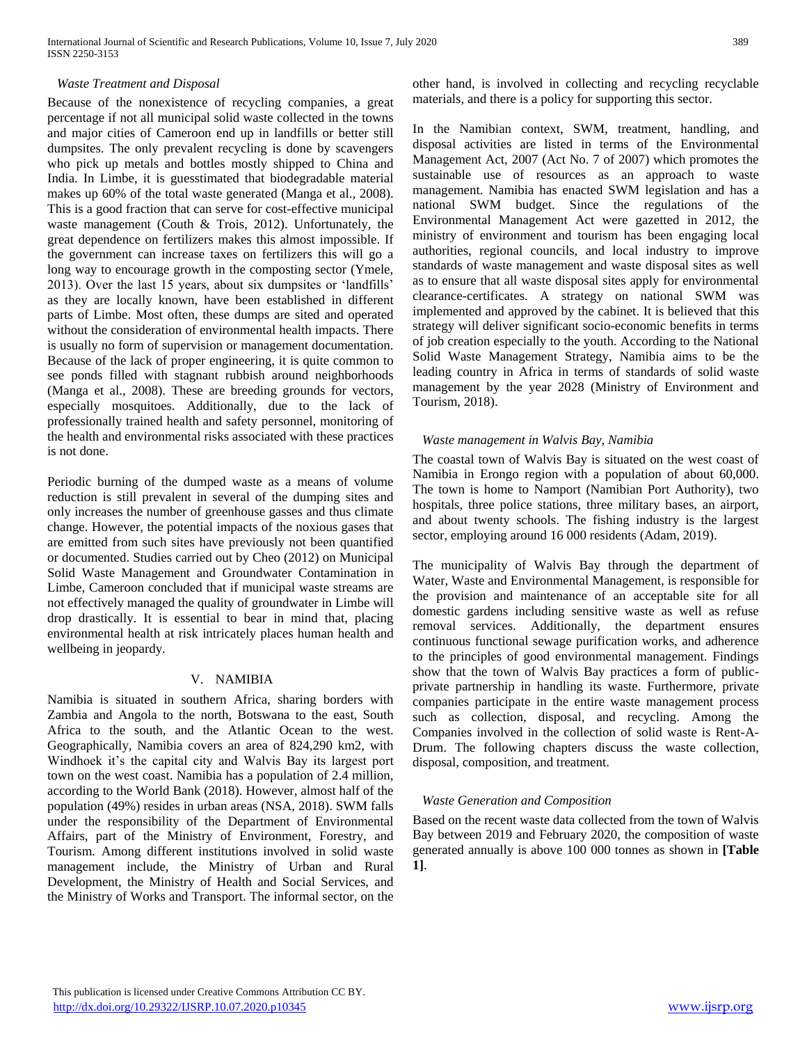# *Waste Treatment and Disposal*

Because of the nonexistence of recycling companies, a great percentage if not all municipal solid waste collected in the towns and major cities of Cameroon end up in landfills or better still dumpsites. The only prevalent recycling is done by scavengers who pick up metals and bottles mostly shipped to China and India. In Limbe, it is guesstimated that biodegradable material makes up 60% of the total waste generated (Manga et al., 2008). This is a good fraction that can serve for cost-effective municipal waste management (Couth & Trois, 2012). Unfortunately, the great dependence on fertilizers makes this almost impossible. If the government can increase taxes on fertilizers this will go a long way to encourage growth in the composting sector (Ymele, 2013). Over the last 15 years, about six dumpsites or 'landfills' as they are locally known, have been established in different parts of Limbe. Most often, these dumps are sited and operated without the consideration of environmental health impacts. There is usually no form of supervision or management documentation. Because of the lack of proper engineering, it is quite common to see ponds filled with stagnant rubbish around neighborhoods (Manga et al., 2008). These are breeding grounds for vectors, especially mosquitoes. Additionally, due to the lack of professionally trained health and safety personnel, monitoring of the health and environmental risks associated with these practices is not done.

Periodic burning of the dumped waste as a means of volume reduction is still prevalent in several of the dumping sites and only increases the number of greenhouse gasses and thus climate change. However, the potential impacts of the noxious gases that are emitted from such sites have previously not been quantified or documented. Studies carried out by Cheo (2012) on Municipal Solid Waste Management and Groundwater Contamination in Limbe, Cameroon concluded that if municipal waste streams are not effectively managed the quality of groundwater in Limbe will drop drastically. It is essential to bear in mind that, placing environmental health at risk intricately places human health and wellbeing in jeopardy.

#### V. NAMIBIA

Namibia is situated in southern Africa, sharing borders with Zambia and Angola to the north, Botswana to the east, South Africa to the south, and the Atlantic Ocean to the west. Geographically, Namibia covers an area of 824,290 km2, with Windhoek it's the capital city and Walvis Bay its largest port town on the west coast. Namibia has a population of 2.4 million, according to the World Bank (2018). However, almost half of the population (49%) resides in urban areas (NSA, 2018). SWM falls under the responsibility of the Department of Environmental Affairs, part of the Ministry of Environment, Forestry, and Tourism. Among different institutions involved in solid waste management include, the Ministry of Urban and Rural Development, the Ministry of Health and Social Services, and the Ministry of Works and Transport. The informal sector, on the other hand, is involved in collecting and recycling recyclable materials, and there is a policy for supporting this sector.

In the Namibian context, SWM, treatment, handling, and disposal activities are listed in terms of the Environmental Management Act, 2007 (Act No. 7 of 2007) which promotes the sustainable use of resources as an approach to waste management. Namibia has enacted SWM legislation and has a national SWM budget. Since the regulations of the Environmental Management Act were gazetted in 2012, the ministry of environment and tourism has been engaging local authorities, regional councils, and local industry to improve standards of waste management and waste disposal sites as well as to ensure that all waste disposal sites apply for environmental clearance-certificates. A strategy on national SWM was implemented and approved by the cabinet. It is believed that this strategy will deliver significant socio-economic benefits in terms of job creation especially to the youth. According to the National Solid Waste Management Strategy, Namibia aims to be the leading country in Africa in terms of standards of solid waste management by the year 2028 (Ministry of Environment and Tourism, 2018).

#### *Waste management in Walvis Bay, Namibia*

The coastal town of Walvis Bay is situated on the west coast of Namibia in Erongo region with a population of about 60,000. The town is home to Namport (Namibian Port Authority), two hospitals, three police stations, three military bases, an airport, and about twenty schools. The fishing industry is the largest sector, employing around 16 000 residents (Adam, 2019).

The municipality of Walvis Bay through the department of Water, Waste and Environmental Management, is responsible for the provision and maintenance of an acceptable site for all domestic gardens including sensitive waste as well as refuse removal services. Additionally, the department ensures continuous functional sewage purification works, and adherence to the principles of good environmental management. Findings show that the town of Walvis Bay practices a form of publicprivate partnership in handling its waste. Furthermore, private companies participate in the entire waste management process such as collection, disposal, and recycling. Among the Companies involved in the collection of solid waste is Rent-A-Drum. The following chapters discuss the waste collection, disposal, composition, and treatment.

#### *Waste Generation and Composition*

Based on the recent waste data collected from the town of Walvis Bay between 2019 and February 2020, the composition of waste generated annually is above 100 000 tonnes as shown in **[Table 1]**.

 This publication is licensed under Creative Commons Attribution CC BY. <http://dx.doi.org/10.29322/IJSRP.10.07.2020.p10345> [www.ijsrp.org](http://ijsrp.org/)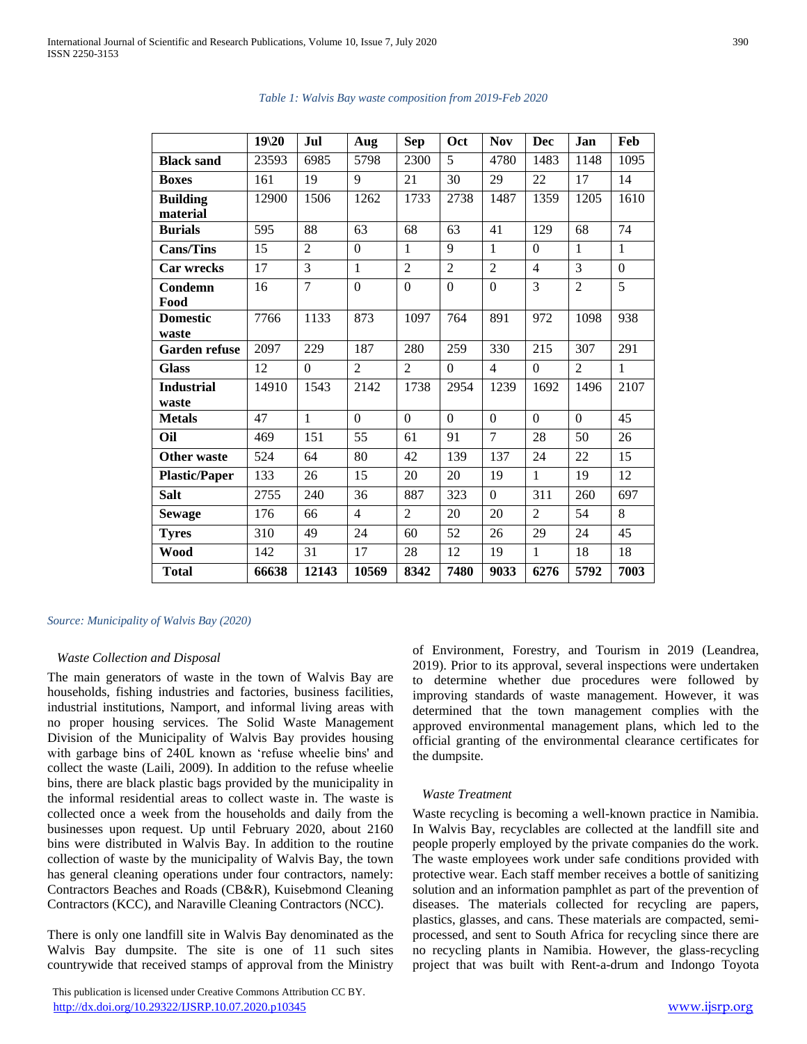|                      | 19 20 | <b>Jul</b>     | Aug            | <b>Sep</b>     | Oct            | <b>Nov</b>     | Dec            | <b>Jan</b>     | Feb            |
|----------------------|-------|----------------|----------------|----------------|----------------|----------------|----------------|----------------|----------------|
| <b>Black sand</b>    | 23593 | 6985           | 5798           | 2300           | 5              | 4780           | 1483           | 1148           | 1095           |
| <b>Boxes</b>         | 161   | 19             | 9              | 21             | 30             | 29             | 22             | 17             | 14             |
| <b>Building</b>      | 12900 | 1506           | 1262           | 1733           | 2738           | 1487           | 1359           | 1205           | 1610           |
| material             |       |                |                |                |                |                |                |                |                |
| <b>Burials</b>       | 595   | 88             | 63             | 68             | 63             | 41             | 129            | 68             | 74             |
| <b>Cans/Tins</b>     | 15    | $\overline{2}$ | $\overline{0}$ | $\mathbf{1}$   | 9              | $\mathbf{1}$   | $\overline{0}$ | $\mathbf{1}$   | $\mathbf{1}$   |
| <b>Car wrecks</b>    | 17    | 3              | $\mathbf{1}$   | $\overline{2}$ | $\overline{2}$ | $\overline{2}$ | $\overline{4}$ | 3              | $\theta$       |
| Condemn              | 16    | $\overline{7}$ | $\theta$       | $\overline{0}$ | $\theta$       | $\theta$       | $\overline{3}$ | $\overline{2}$ | $\overline{5}$ |
| Food                 |       |                |                |                |                |                |                |                |                |
| <b>Domestic</b>      | 7766  | 1133           | 873            | 1097           | 764            | 891            | 972            | 1098           | 938            |
| waste                |       |                |                |                |                |                |                |                |                |
| <b>Garden refuse</b> | 2097  | 229            | 187            | 280            | 259            | 330            | 215            | 307            | 291            |
| <b>Glass</b>         | 12    | $\Omega$       | $\overline{2}$ | $\overline{2}$ | $\Omega$       | $\overline{4}$ | $\theta$       | $\overline{2}$ | 1              |
| <b>Industrial</b>    | 14910 | 1543           | 2142           | 1738           | 2954           | 1239           | 1692           | 1496           | 2107           |
| waste                |       |                |                |                |                |                |                |                |                |
| <b>Metals</b>        | 47    | $\mathbf{1}$   | $\theta$       | $\Omega$       | $\Omega$       | $\theta$       | $\Omega$       | $\Omega$       | 45             |
| Oil                  | 469   | 151            | 55             | 61             | 91             | $\overline{7}$ | 28             | 50             | 26             |
| <b>Other waste</b>   | 524   | 64             | 80             | 42             | 139            | 137            | 24             | 22             | 15             |
| <b>Plastic/Paper</b> | 133   | 26             | 15             | 20             | 20             | 19             | $\mathbf{1}$   | 19             | 12             |
| <b>Salt</b>          | 2755  | 240            | 36             | 887            | 323            | $\Omega$       | 311            | 260            | 697            |
| <b>Sewage</b>        | 176   | 66             | $\overline{4}$ | $\overline{2}$ | 20             | 20             | $\overline{2}$ | 54             | 8              |
| <b>Tyres</b>         | 310   | 49             | 24             | 60             | 52             | 26             | 29             | 24             | 45             |
| Wood                 | 142   | 31             | 17             | 28             | 12             | 19             | 1              | 18             | 18             |
| <b>Total</b>         | 66638 | 12143          | 10569          | 8342           | 7480           | 9033           | 6276           | 5792           | 7003           |

#### *Table 1: Walvis Bay waste composition from 2019-Feb 2020*

#### *Source: Municipality of Walvis Bay (2020)*

# *Waste Collection and Disposal*

The main generators of waste in the town of Walvis Bay are households, fishing industries and factories, business facilities, industrial institutions, Namport, and informal living areas with no proper housing services. The Solid Waste Management Division of the Municipality of Walvis Bay provides housing with garbage bins of 240L known as 'refuse wheelie bins' and collect the waste (Laili, 2009). In addition to the refuse wheelie bins, there are black plastic bags provided by the municipality in the informal residential areas to collect waste in. The waste is collected once a week from the households and daily from the businesses upon request. Up until February 2020, about 2160 bins were distributed in Walvis Bay. In addition to the routine collection of waste by the municipality of Walvis Bay, the town has general cleaning operations under four contractors, namely: Contractors Beaches and Roads (CB&R), Kuisebmond Cleaning Contractors (KCC), and Naraville Cleaning Contractors (NCC).

There is only one landfill site in Walvis Bay denominated as the Walvis Bay dumpsite. The site is one of 11 such sites countrywide that received stamps of approval from the Ministry

 This publication is licensed under Creative Commons Attribution CC BY. <http://dx.doi.org/10.29322/IJSRP.10.07.2020.p10345> [www.ijsrp.org](http://ijsrp.org/)

of Environment, Forestry, and Tourism in 2019 (Leandrea, 2019). Prior to its approval, several inspections were undertaken to determine whether due procedures were followed by improving standards of waste management. However, it was determined that the town management complies with the approved environmental management plans, which led to the official granting of the environmental clearance certificates for the dumpsite.

# *Waste Treatment*

Waste recycling is becoming a well-known practice in Namibia. In Walvis Bay, recyclables are collected at the landfill site and people properly employed by the private companies do the work. The waste employees work under safe conditions provided with protective wear. Each staff member receives a bottle of sanitizing solution and an information pamphlet as part of the prevention of diseases. The materials collected for recycling are papers, plastics, glasses, and cans. These materials are compacted, semiprocessed, and sent to South Africa for recycling since there are no recycling plants in Namibia. However, the glass-recycling project that was built with Rent-a-drum and Indongo Toyota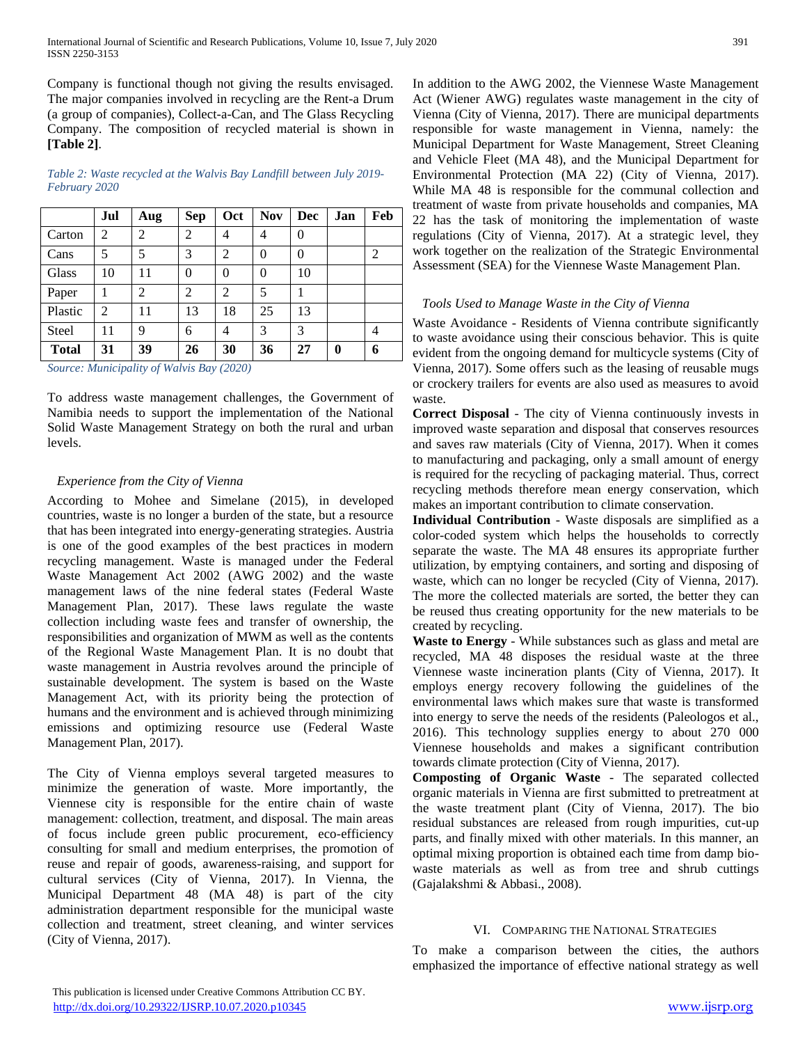Company is functional though not giving the results envisaged. The major companies involved in recycling are the Rent-a Drum (a group of companies), Collect-a-Can, and The Glass Recycling Company. The composition of recycled material is shown in **[Table 2]**.

*Table 2: Waste recycled at the Walvis Bay Landfill between July 2019- February 2020*

|              | Jul            | Aug            | <b>Sep</b>     | Oct            | <b>Nov</b> | Dec            | Jan      | Feb            |
|--------------|----------------|----------------|----------------|----------------|------------|----------------|----------|----------------|
| Carton       | $\overline{c}$ | $\overline{2}$ | $\overline{2}$ | 4              | 4          | $\overline{0}$ |          |                |
| Cans         | 5              | 5              | 3              | $\overline{c}$ | $\theta$   | $\overline{0}$ |          | $\overline{2}$ |
| Glass        | 10             | 11             | $\theta$       | $\Omega$       | $\theta$   | 10             |          |                |
| Paper        |                | 2              | 2              | 2              | 5          |                |          |                |
| Plastic      | 2              | 11             | 13             | 18             | 25         | 13             |          |                |
| Steel        | 11             | 9              | 6              | 4              | 3          | 3              |          | 4              |
| <b>Total</b> | 31             | 39             | 26             | 30             | 36         | 27             | $\bf{0}$ | 6              |

*Source: Municipality of Walvis Bay (2020)*

To address waste management challenges, the Government of Namibia needs to support the implementation of the National Solid Waste Management Strategy on both the rural and urban levels.

# *Experience from the City of Vienna*

According to Mohee and Simelane (2015), in developed countries, waste is no longer a burden of the state, but a resource that has been integrated into energy-generating strategies. Austria is one of the good examples of the best practices in modern recycling management. Waste is managed under the Federal Waste Management Act 2002 (AWG 2002) and the waste management laws of the nine federal states (Federal Waste Management Plan, 2017). These laws regulate the waste collection including waste fees and transfer of ownership, the responsibilities and organization of MWM as well as the contents of the Regional Waste Management Plan. It is no doubt that waste management in Austria revolves around the principle of sustainable development. The system is based on the Waste Management Act, with its priority being the protection of humans and the environment and is achieved through minimizing emissions and optimizing resource use (Federal Waste Management Plan, 2017).

The City of Vienna employs several targeted measures to minimize the generation of waste. More importantly, the Viennese city is responsible for the entire chain of waste management: collection, treatment, and disposal. The main areas of focus include green public procurement, eco-efficiency consulting for small and medium enterprises, the promotion of reuse and repair of goods, awareness-raising, and support for cultural services (City of Vienna, 2017). In Vienna, the Municipal Department 48 (MA 48) is part of the city administration department responsible for the municipal waste collection and treatment, street cleaning, and winter services (City of Vienna, 2017).

In addition to the AWG 2002, the Viennese Waste Management Act (Wiener AWG) regulates waste management in the city of Vienna (City of Vienna, 2017). There are municipal departments responsible for waste management in Vienna, namely: the Municipal Department for Waste Management, Street Cleaning and Vehicle Fleet (MA 48), and the Municipal Department for Environmental Protection (MA 22) (City of Vienna, 2017). While MA 48 is responsible for the communal collection and treatment of waste from private households and companies, MA 22 has the task of monitoring the implementation of waste regulations (City of Vienna, 2017). At a strategic level, they work together on the realization of the Strategic Environmental Assessment (SEA) for the Viennese Waste Management Plan.

# *Tools Used to Manage Waste in the City of Vienna*

Waste Avoidance - Residents of Vienna contribute significantly to waste avoidance using their conscious behavior. This is quite evident from the ongoing demand for multicycle systems (City of Vienna, 2017). Some offers such as the leasing of reusable mugs or crockery trailers for events are also used as measures to avoid waste.

**Correct Disposal** - The city of Vienna continuously invests in improved waste separation and disposal that conserves resources and saves raw materials (City of Vienna, 2017). When it comes to manufacturing and packaging, only a small amount of energy is required for the recycling of packaging material. Thus, correct recycling methods therefore mean energy conservation, which makes an important contribution to climate conservation.

**Individual Contribution** - Waste disposals are simplified as a color-coded system which helps the households to correctly separate the waste. The MA 48 ensures its appropriate further utilization, by emptying containers, and sorting and disposing of waste, which can no longer be recycled (City of Vienna, 2017). The more the collected materials are sorted, the better they can be reused thus creating opportunity for the new materials to be created by recycling.

**Waste to Energy** - While substances such as glass and metal are recycled, MA 48 disposes the residual waste at the three Viennese waste incineration plants (City of Vienna, 2017). It employs energy recovery following the guidelines of the environmental laws which makes sure that waste is transformed into energy to serve the needs of the residents (Paleologos et al., 2016). This technology supplies energy to about 270 000 Viennese households and makes a significant contribution towards climate protection (City of Vienna, 2017).

**Composting of Organic Waste** - The separated collected organic materials in Vienna are first submitted to pretreatment at the waste treatment plant (City of Vienna, 2017). The bio residual substances are released from rough impurities, cut-up parts, and finally mixed with other materials. In this manner, an optimal mixing proportion is obtained each time from damp biowaste materials as well as from tree and shrub cuttings (Gajalakshmi & Abbasi., 2008).

# VI. COMPARING THE NATIONAL STRATEGIES

To make a comparison between the cities, the authors emphasized the importance of effective national strategy as well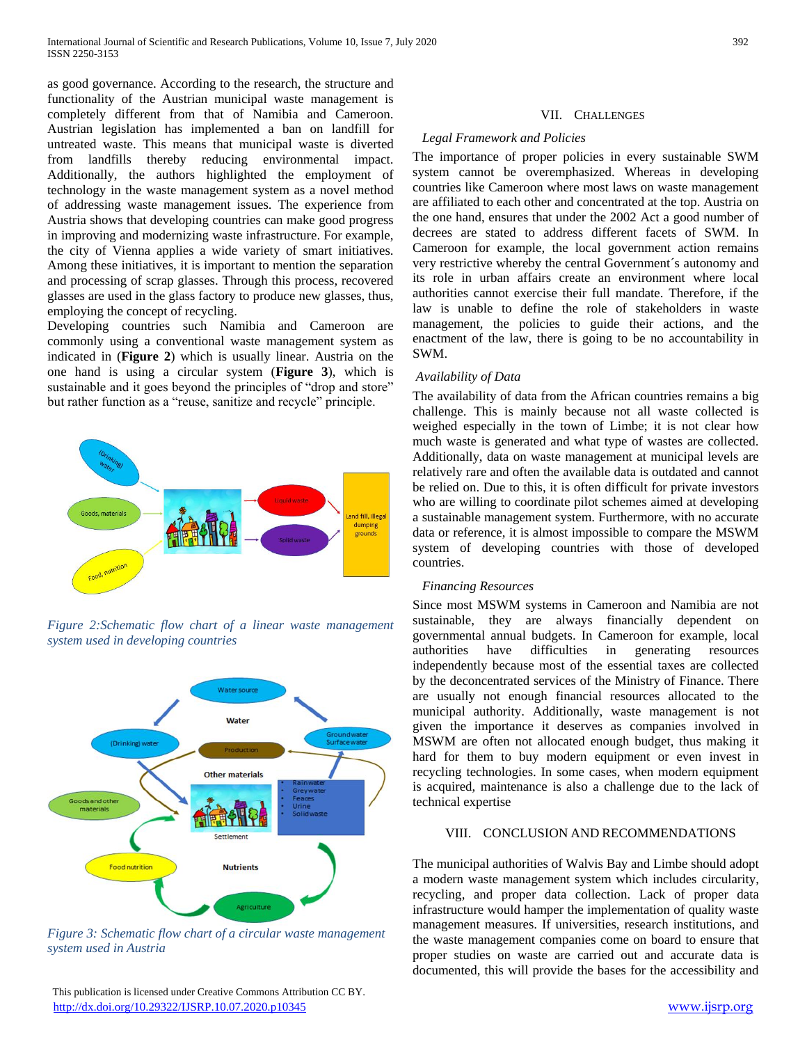as good governance. According to the research, the structure and functionality of the Austrian municipal waste management is completely different from that of Namibia and Cameroon. Austrian legislation has implemented a ban on landfill for untreated waste. This means that municipal waste is diverted from landfills thereby reducing environmental impact. Additionally, the authors highlighted the employment of technology in the waste management system as a novel method of addressing waste management issues. The experience from Austria shows that developing countries can make good progress in improving and modernizing waste infrastructure. For example, the city of Vienna applies a wide variety of smart initiatives. Among these initiatives, it is important to mention the separation and processing of scrap glasses. Through this process, recovered glasses are used in the glass factory to produce new glasses, thus, employing the concept of recycling.

Developing countries such Namibia and Cameroon are commonly using a conventional waste management system as indicated in (**Figure 2**) which is usually linear. Austria on the one hand is using a circular system (**Figure 3**), which is sustainable and it goes beyond the principles of "drop and store" but rather function as a "reuse, sanitize and recycle" principle.



*Figure 2:Schematic flow chart of a linear waste management system used in developing countries*



*Figure 3: Schematic flow chart of a circular waste management system used in Austria*

## VII. CHALLENGES

# *Legal Framework and Policies*

The importance of proper policies in every sustainable SWM system cannot be overemphasized. Whereas in developing countries like Cameroon where most laws on waste management are affiliated to each other and concentrated at the top. Austria on the one hand, ensures that under the 2002 Act a good number of decrees are stated to address different facets of SWM. In Cameroon for example, the local government action remains very restrictive whereby the central Government´s autonomy and its role in urban affairs create an environment where local authorities cannot exercise their full mandate. Therefore, if the law is unable to define the role of stakeholders in waste management, the policies to guide their actions, and the enactment of the law, there is going to be no accountability in SWM.

# *Availability of Data*

The availability of data from the African countries remains a big challenge. This is mainly because not all waste collected is weighed especially in the town of Limbe; it is not clear how much waste is generated and what type of wastes are collected. Additionally, data on waste management at municipal levels are relatively rare and often the available data is outdated and cannot be relied on. Due to this, it is often difficult for private investors who are willing to coordinate pilot schemes aimed at developing a sustainable management system. Furthermore, with no accurate data or reference, it is almost impossible to compare the MSWM system of developing countries with those of developed countries.

# *Financing Resources*

Since most MSWM systems in Cameroon and Namibia are not sustainable, they are always financially dependent on governmental annual budgets. In Cameroon for example, local authorities have difficulties in generating resources independently because most of the essential taxes are collected by the deconcentrated services of the Ministry of Finance. There are usually not enough financial resources allocated to the municipal authority. Additionally, waste management is not given the importance it deserves as companies involved in MSWM are often not allocated enough budget, thus making it hard for them to buy modern equipment or even invest in recycling technologies. In some cases, when modern equipment is acquired, maintenance is also a challenge due to the lack of technical expertise

## VIII. CONCLUSION AND RECOMMENDATIONS

The municipal authorities of Walvis Bay and Limbe should adopt a modern waste management system which includes circularity, recycling, and proper data collection. Lack of proper data infrastructure would hamper the implementation of quality waste management measures. If universities, research institutions, and the waste management companies come on board to ensure that proper studies on waste are carried out and accurate data is documented, this will provide the bases for the accessibility and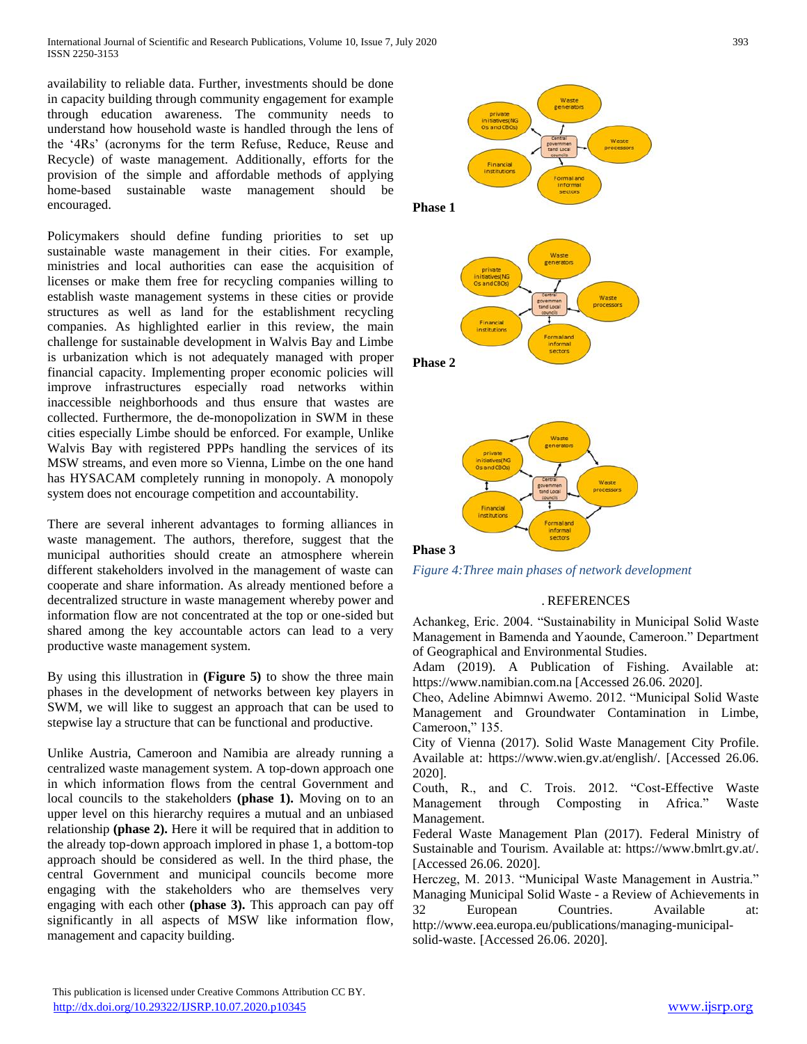availability to reliable data. Further, investments should be done in capacity building through community engagement for example through education awareness. The community needs to understand how household waste is handled through the lens of the '4Rs' (acronyms for the term Refuse, Reduce, Reuse and Recycle) of waste management. Additionally, efforts for the provision of the simple and affordable methods of applying home-based sustainable waste management should be encouraged.

Policymakers should define funding priorities to set up sustainable waste management in their cities. For example, ministries and local authorities can ease the acquisition of licenses or make them free for recycling companies willing to establish waste management systems in these cities or provide structures as well as land for the establishment recycling companies. As highlighted earlier in this review, the main challenge for sustainable development in Walvis Bay and Limbe is urbanization which is not adequately managed with proper financial capacity. Implementing proper economic policies will improve infrastructures especially road networks within inaccessible neighborhoods and thus ensure that wastes are collected. Furthermore, the de-monopolization in SWM in these cities especially Limbe should be enforced. For example, Unlike Walvis Bay with registered PPPs handling the services of its MSW streams, and even more so Vienna, Limbe on the one hand has HYSACAM completely running in monopoly. A monopoly system does not encourage competition and accountability.

There are several inherent advantages to forming alliances in waste management. The authors, therefore, suggest that the municipal authorities should create an atmosphere wherein different stakeholders involved in the management of waste can cooperate and share information. As already mentioned before a decentralized structure in waste management whereby power and information flow are not concentrated at the top or one-sided but shared among the key accountable actors can lead to a very productive waste management system.

By using this illustration in **(Figure 5)** to show the three main phases in the development of networks between key players in SWM, we will like to suggest an approach that can be used to stepwise lay a structure that can be functional and productive.

Unlike Austria, Cameroon and Namibia are already running a centralized waste management system. A top-down approach one in which information flows from the central Government and local councils to the stakeholders **(phase 1).** Moving on to an upper level on this hierarchy requires a mutual and an unbiased relationship **(phase 2).** Here it will be required that in addition to the already top-down approach implored in phase 1, a bottom-top approach should be considered as well. In the third phase, the central Government and municipal councils become more engaging with the stakeholders who are themselves very engaging with each other **(phase 3).** This approach can pay off significantly in all aspects of MSW like information flow, management and capacity building.





**Phase 2**



*Figure 4:Three main phases of network development*

# . REFERENCES

Achankeg, Eric. 2004. "Sustainability in Municipal Solid Waste Management in Bamenda and Yaounde, Cameroon." Department of Geographical and Environmental Studies.

Adam (2019). A Publication of Fishing. Available at: https://www.namibian.com.na [Accessed 26.06. 2020].

Cheo, Adeline Abimnwi Awemo. 2012. "Municipal Solid Waste Management and Groundwater Contamination in Limbe, Cameroon," 135.

City of Vienna (2017). Solid Waste Management City Profile. Available at: https://www.wien.gv.at/english/. [Accessed 26.06. 2020].

Couth, R., and C. Trois. 2012. "Cost-Effective Waste Management through Composting in Africa." Waste Management.

Federal Waste Management Plan (2017). Federal Ministry of Sustainable and Tourism. Available at: https://www.bmlrt.gv.at/. [Accessed 26.06. 2020].

Herczeg, M. 2013. "Municipal Waste Management in Austria." Managing Municipal Solid Waste - a Review of Achievements in 32 European Countries. Available at: http://www.eea.europa.eu/publications/managing-municipal-

solid-waste. [Accessed 26.06. 2020].